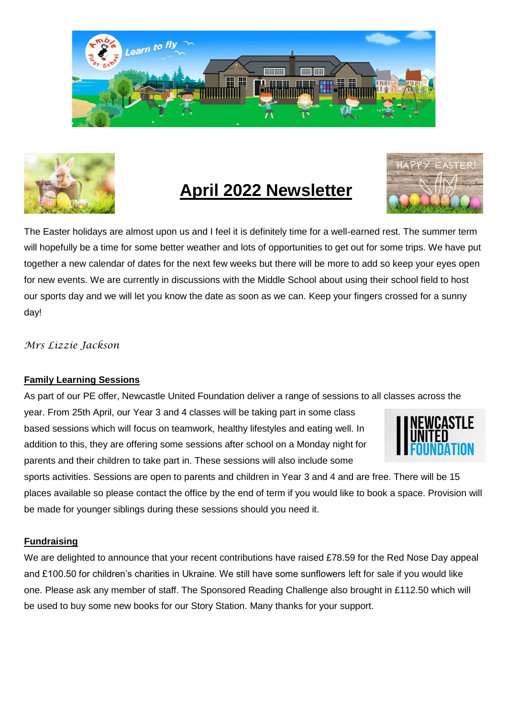



## **April 2022 Newsletter**



The Easter holidays are almost upon us and I feel it is definitely time for a well-earned rest. The summer term will hopefully be a time for some better weather and lots of opportunities to get out for some trips. We have put together a new calendar of dates for the next few weeks but there will be more to add so keep your eyes open for new events. We are currently in discussions with the Middle School about using their school field to host our sports day and we will let you know the date as soon as we can. Keep your fingers crossed for a sunny day!

#### *Mrs Lizzie Jackson*

#### **Family Learning Sessions**

As part of our PE offer, Newcastle United Foundation deliver a range of sessions to all classes across the

year. From 25th April, our Year 3 and 4 classes will be taking part in some class based sessions which will focus on teamwork, healthy lifestyles and eating well. In addition to this, they are offering some sessions after school on a Monday night for parents and their children to take part in. These sessions will also include some



sports activities. Sessions are open to parents and children in Year 3 and 4 and are free. There will be 15 places available so please contact the office by the end of term if you would like to book a space. Provision will be made for younger siblings during these sessions should you need it.

#### **Fundraising**

We are delighted to announce that your recent contributions have raised £78.59 for the Red Nose Day appeal and £100.50 for children's charities in Ukraine. We still have some sunflowers left for sale if you would like one. Please ask any member of staff. The Sponsored Reading Challenge also brought in £112.50 which will be used to buy some new books for our Story Station. Many thanks for your support.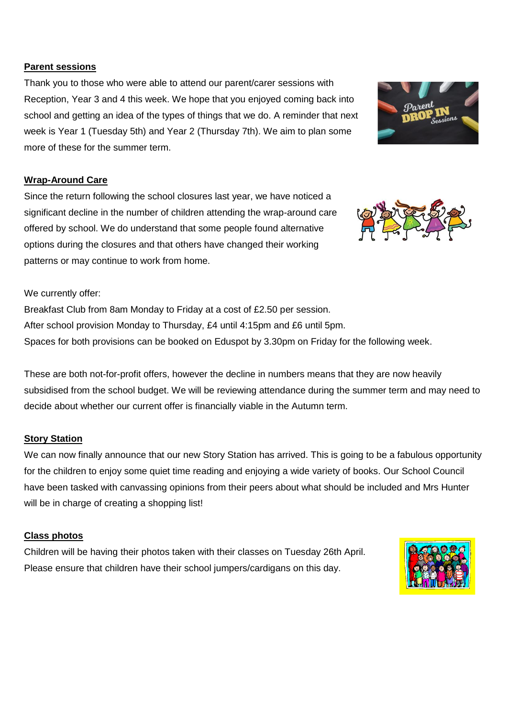#### **Parent sessions**

Thank you to those who were able to attend our parent/carer sessions with Reception, Year 3 and 4 this week. We hope that you enjoyed coming back into school and getting an idea of the types of things that we do. A reminder that next week is Year 1 (Tuesday 5th) and Year 2 (Thursday 7th). We aim to plan some more of these for the summer term.

#### **Wrap-Around Care**

Since the return following the school closures last year, we have noticed a significant decline in the number of children attending the wrap-around care offered by school. We do understand that some people found alternative options during the closures and that others have changed their working patterns or may continue to work from home.

We currently offer:

Breakfast Club from 8am Monday to Friday at a cost of £2.50 per session. After school provision Monday to Thursday, £4 until 4:15pm and £6 until 5pm. Spaces for both provisions can be booked on Eduspot by 3.30pm on Friday for the following week.

These are both not-for-profit offers, however the decline in numbers means that they are now heavily subsidised from the school budget. We will be reviewing attendance during the summer term and may need to decide about whether our current offer is financially viable in the Autumn term.

#### **Story Station**

We can now finally announce that our new Story Station has arrived. This is going to be a fabulous opportunity for the children to enjoy some quiet time reading and enjoying a wide variety of books. Our School Council have been tasked with canvassing opinions from their peers about what should be included and Mrs Hunter will be in charge of creating a shopping list!

#### **Class photos**

Children will be having their photos taken with their classes on Tuesday 26th April. Please ensure that children have their school jumpers/cardigans on this day.





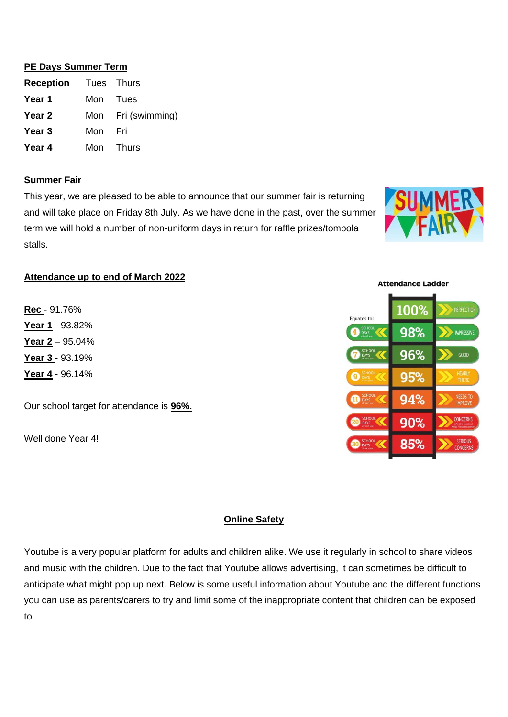#### **PE Days Summer Term**

| <b>Reception</b> Tues Thurs |         |                    |
|-----------------------------|---------|--------------------|
| Year 1                      |         | Mon Tues           |
| Year 2                      |         | Mon Fri (swimming) |
| Year <sub>3</sub>           | Mon Fri |                    |
| Year 4                      |         | Mon Thurs          |

#### **Summer Fair**

This year, we are pleased to be able to announce that our summer fair is returning and will take place on Friday 8th July. As we have done in the past, over the summer term we will hold a number of non-uniform days in return for raffle prizes/tombola stalls.



## **Attendance up to end of March 2022**

**Rec** - 91.76% **Year 1** - 93.82% **Year 2** – 95.04% **Year 3** - 93.19% **Year 4** - 96.14%

Our school target for attendance is **96%.**

Well done Year 4!



#### **Online Safety**

Youtube is a very popular platform for adults and children alike. We use it regularly in school to share videos and music with the children. Due to the fact that Youtube allows advertising, it can sometimes be difficult to anticipate what might pop up next. Below is some useful information about Youtube and the different functions you can use as parents/carers to try and limit some of the inappropriate content that children can be exposed to.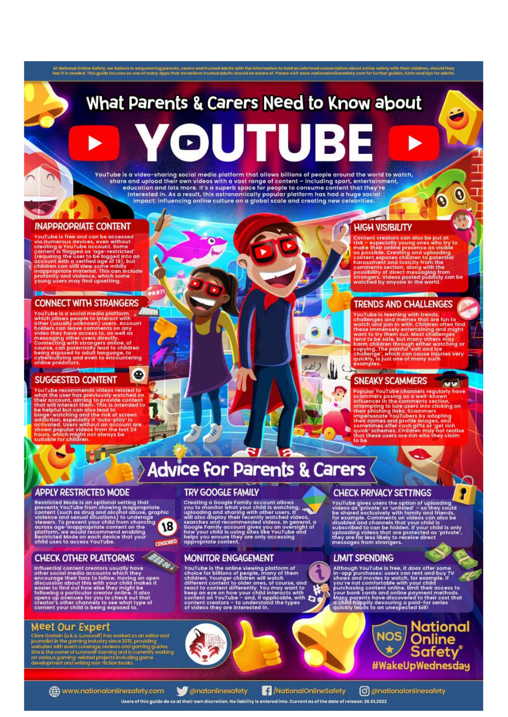At National Online Safety, we believe in empowering parents, carers and trusted adults with the information to hold an informed conversation about online safety with their children, should they can be a state of Piece of P

# What Parents & Carers Need to Know about

YouTube is a video-sharing social media platform that allows billions of people around the world to watch, share and upload their own videos with a vast range of content - including sport, entertainment, education and lots more. It's a superb space for people to consume content that they're<br>interested in. As a result, this astronomically popular platform has had a huge social<br>impact: influencing online culture on a global

#### **INAPPROPRIATE CONTENT**

Four the state and can be accessed<br>via numerous devices, even without<br>creating a YouTube account. Some<br>content is flagged as 'age-restricted'<br>(requiring the user to be logged into an<br>decount with a verified age of 18), but

#### **CONNECT WITH STRANGERS**

**INC. INC.** 

**Southers a social media platform of ANNUCKS**<br>
which slows people to interact with<br>
other (usually unknown) users. Account<br>
holders can leave comments on any<br>
video they have access to, as well as<br>
connecting with stranger -0

#### **Kanada Angeler SUGGESTED CONTENT**

**Solution Community (Section 2018)**<br>
YouTube recommends videos related to<br>
YouTube recount, aiming to provide content<br>
hat will interest them. This is intended to<br>
be helpful but can also lead to<br>
be helpful but can also l

## **Advice for Parents & Carers**

#### **APPLY RESTRICTED MODE**

Further and the distinguished and the prevents youTube from showing inappropriate<br>prevents youTube from showing inappropriate<br>content (such as drug and alcohol obuse, graphic<br>violence and sexual situations) to underage<br>pro



an 7

#### **CHECK OTHER PLATFORMS**

**CONSTANT** Influential content creators usually have<br>other social media accounts which they<br>other social media accounts which they<br>encourage their frans to follow, Having an open<br>aiscussion about this with your child makes it<br>followi

 $\begin{tabular}{l} \textbf{Meet Our Eyper} \\ \textbf{C} \\ \textbf{C} \\ \textbf{C} \\ \textbf{C} \\ \textbf{C} \\ \textbf{D} \\ \textbf{C} \\ \textbf{D} \\ \textbf{C} \\ \textbf{D} \\ \textbf{C} \\ \textbf{D} \\ \textbf{D} \\ \textbf{D} \\ \textbf{D} \\ \textbf{D} \\ \textbf{D} \\ \textbf{D} \\ \textbf{D} \\ \textbf{D} \\ \textbf{D} \\ \textbf{D} \\ \textbf{D} \\ \textbf{D} \\ \textbf{D} \\ \textbf{D} \\ \textbf{D} \\ \textbf{D} \\ \textbf{D$ 

#### **TRY GOOGLE FAMILY**

Creating a Google Family account allows<br>you to monitor what your child is watching,<br>uploading and sharing with other users. It<br>will also display their recently watched videos,<br>searches and recommended videos. In general, a

#### **MONITOR ENGAGEMENT**

YouTube is the online viewing platform of<br>choice for billions of people, many of them<br>children. Younger children will watch use on the different content to older ones, of course, and<br>react to content differently. You may w



#### **HIGH VISIBILITY**

The content creations of the special space of the ratio of the mass that as possible. Creating and uplodding<br>as possible. Creating and uplodding<br>content exposes children to potential<br>hardware content control to control the

Q

 $60$ 

**OU!** 

x

 $\Omega$ 

#### **TRENDS AND CHALLENGES**

**EXECUTE THE CONSUMPLE CONSUMPLE CONSUMED**<br>
Schollanges and memos that are fun to<br>
and logical memosic and memosity entertaining and might<br>
these immension with Children often find<br>
then to be safe, but many others may<br>
ha

**Contract Administration** 

### SNEAKY SCAMMERS

 $\mathbf{u}$ 

 $\mathfrak{c}$ 

٠

**Propular YouTube channels regularly have**<br>scammers posing as a well-known<br>influencer in the comments section,<br>attempting to lure users into clicking on<br>their phishing links. Scammers<br>their phishing dividends the case of t



Ì VouTube gives users the option of uploading<br>videos as 'private' or 'unlisted' - so they could<br>be shared exclusively with family and friends,<br>for example. Comments on videos can also be<br>disabled and channels that your child

#### **LIMIT SPENDING**

Although YouTube is free, it does offer some<br>in-app purchases: users can rent and buy TV<br>shows and movies to watch, for example. If<br>you're not comfortable with your child<br>you're not comfortable with your child<br>your bank ca



(() www.nationalonlinesafety.com

**Condonlinesafety** Users of this quide do so at their own discretion. No liability is entered into. Current as of the date of release: 26.01.2022

**A** /NationalOnlineSafety

C @nationalonlinesafety



A